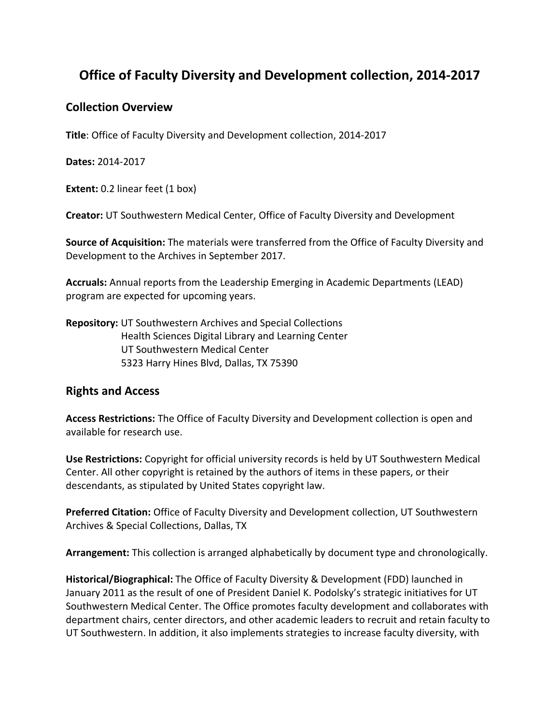# **Office of Faculty Diversity and Development collection, 2014-2017**

#### **Collection Overview**

**Title**: Office of Faculty Diversity and Development collection, 2014-2017

**Dates:** 2014-2017

**Extent:** 0.2 linear feet (1 box)

**Creator:** UT Southwestern Medical Center, Office of Faculty Diversity and Development

**Source of Acquisition:** The materials were transferred from the Office of Faculty Diversity and Development to the Archives in September 2017.

**Accruals:** Annual reports from the Leadership Emerging in Academic Departments (LEAD) program are expected for upcoming years.

**Repository:** UT Southwestern Archives and Special Collections Health Sciences Digital Library and Learning Center UT Southwestern Medical Center 5323 Harry Hines Blvd, Dallas, TX 75390

### **Rights and Access**

**Access Restrictions:** The Office of Faculty Diversity and Development collection is open and available for research use.

**Use Restrictions:** Copyright for official university records is held by UT Southwestern Medical Center. All other copyright is retained by the authors of items in these papers, or their descendants, as stipulated by United States copyright law.

**Preferred Citation:** Office of Faculty Diversity and Development collection, UT Southwestern Archives & Special Collections, Dallas, TX

**Arrangement:** This collection is arranged alphabetically by document type and chronologically.

**Historical/Biographical:** The Office of Faculty Diversity & Development (FDD) launched in January 2011 as the result of one of President Daniel K. Podolsky's strategic initiatives for UT Southwestern Medical Center. The Office promotes faculty development and collaborates with department chairs, center directors, and other academic leaders to recruit and retain faculty to UT Southwestern. In addition, it also implements strategies to increase faculty diversity, with